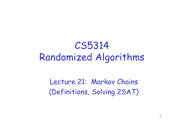## CS5314 Randomized Algorithms

Lecture 21: Markov Chains (Definitions, Solving 2SAT)

1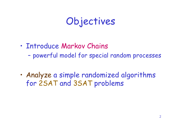## Objectives

- •Introduce Markov Chains
	- –powerful model for special random processes
- •Analyze a simple randomized algorithms for 2SAT and 3SAT problems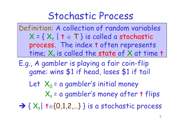#### Stochastic Process

Definition: A collection of random variables  $X = \{ X_{t} | t \in T \}$  is called a stochastic process. The index t often represents time;  $X_t$  is called the state of X at time t

E.g., A gambler is playing a fair coin-flip game: wins \$1 if head, loses \$1 if tail

Let  $X_0$  = a gambler's initial money  $X_t$  = a gambler's money after t flips

 $\rightarrow$  {  $X_{+}$  | t $\in$  {0,1,2,...} } is a stochastic process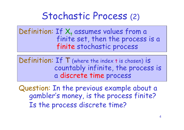#### Stochastic Process (2)

Definition: If  $X_t$  assumes values from a finite set, then the process is a finite stochastic process

Definition: If T (where the index t is chosen) is countably infinite, the process is a discrete time process

Question: In the previous example about a gambler's money, is the process finite? Is the process discrete time?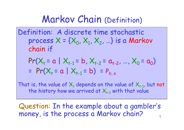#### Markov Chain (Definition)

Definition: A discrete time stochastic process  $X = \{X_0, X_1, X_2, ...\}$  is a Markov chain if

$$
Pr(X_{t} = a | X_{t-1} = b, X_{t-2} = a_{t-2}, ..., X_{0} = a_{0})
$$
  
= 
$$
Pr(X_{t} = a | X_{t-1} = b) = P_{b,a}
$$

That is, the value of  $X_t$  depends on the value of  $X_{t-1}$ , but not the history how we arrived at  $X_{t-1}$  with that value

5 Question: In the example about a gambler's money, is the process a Markov chain?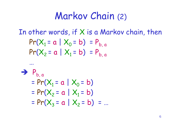#### Markov Chain (2)

In other words, if X is a Markov chain, then

$$
Pr(X_1 = a | X_0 = b) = P_{b, a}
$$
  
Pr(X<sub>2</sub> = a | X<sub>1</sub> = b) = P<sub>b, a</sub>

⇒ 
$$
P_{b,a}
$$

\n=  $Pr(X_1 = a | X_0 = b)$ 

\n=  $Pr(X_2 = a | X_1 = b)$ 

\n=  $Pr(X_3 = a | X_2 = b) = ...$ 

…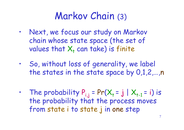## Markov Chain (3)

- Next, we focus our study on Markov chain whose state space (the set of values that  $X_t$  can take) is finite
- So, without loss of generality, we label the states in the state space by 0,1,2,…,n
- The probability  $P_{i,j} = Pr(X_t = j | X_{t-1} = i)$  is the probability that the process moves from state i to state j in one step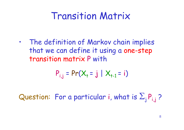#### Transition Matrix

• The definition of Markov chain implies that we can define it using a one-step transition matrix P with

$$
P_{i,j} = Pr(X_{+} = j | X_{+1} = i)
$$

Question: For a particular i, what is  $\Sigma_i P_{i,j}$ ?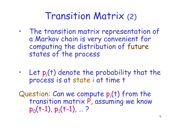#### Transition Matrix (2)

- The transition matrix representation of a Markov chain is very convenient for computing the distribution of future states of the process
- $\cdot$  Let  $p_i(t)$  denote the probability that the process is at state i at time t

Question: Can we compute  $p_i(t)$  from the transition matrix P, assuming we know  $p_0(t-1)$ ,  $p_1(t-1)$ , ...?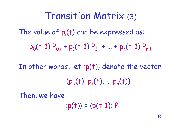The value of  $p_i(t)$  can be expressed as:  $p_0(t-1) P_{0,i} + p_1(t-1) P_{1,i} + ... + p_n(t-1) P_{n,i}$ In other words, let  $\langle p(t) \rangle$  denote the vector  $(p_0(t), p_1(t), ..., p_n(t))$ Transition Matrix (3)

Then, we have

 $\langle p(t) \rangle = \langle p(t-1) \rangle P$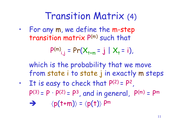#### Transition Matrix (4)

• For any m, we define the m-step transition matrix P (m) such that

$$
P^{(m)}_{i,j} = Pr(X_{t+m} = j | X_t = i),
$$

which is the probability that we move from state i to state j in exactly m steps

• It is easy to check that  $P(2) = P^2$ ,  $P(3) = P$ .  $P(2) = P<sup>3</sup>$ , and in general,  $P(m) = P<sup>m</sup>$  $\Rightarrow$   $\langle p(t+m) \rangle = \langle p(t) \rangle P^m$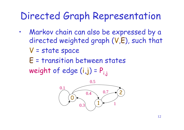#### Directed Graph Representation

• Markov chain can also be expressed by a directed weighted graph (V,E), such that

V = state space

E = transition between states weight of edge  $(i,j)$  =  $P_{i,j}$ 

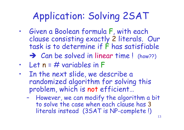# Application: Solving 2SAT

- Given a Boolean formula F, with each clause consisting exactly 2 literals. Our task is to determine if F has satisfiable  $\rightarrow$  Can be solved in linear time! (how??)
- Let  $n = #$  variables in F
- In the next slide, we describe a randomized algorithm for solving this problem, which is not efficient…
	- However, we can modify the algorithm a bit to solve the case when each clause has 3 literals instead (3SAT is NP-complete !)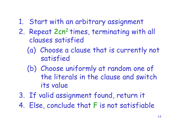- 1. Start with an arbitrary assignment
- 2. Repeat 2cn<sup>2</sup> times, terminating with all clauses satisfied
	- (a) Choose a clause that is currently not satisfied
	- (b) Choose uniformly at random one of the literals in the clause and switch its value
- 3. If valid assignment found, return it
- 4. Else, conclude that F is not satisfiable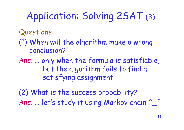# Application: Solving 2SAT (3)

#### Questions:

- (1) When will the algorithm make a wrong conclusion?
- Ans. …only when the formula is satisfiable, but the algorithm fails to find a satisfying assignment

(2) What is the success probability? Ans. ... let's study it using Markov chain ^\_^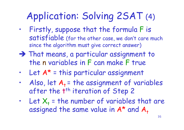## Application: Solving 2SAT (4)

- Firstly, suppose that the formula F is satisfiable (for the other case, we don't care much since the algorithm must give correct answer)
- That means, a particular assignment to the n variables in F can make F true
- Let  $A^*$  = this particular assignment
- Also, let  $A_+$  = the assignment of variables after the t<sup>th</sup> iteration of Step 2
- Let  $X_t$  = the number of variables that are assigned the same value in  $A^*$  and  $A_t$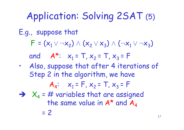## Application: Solving 2SAT (5)

#### E.g., suppose that

 $F = (x_1 \vee \neg x_2) \wedge (x_2 \vee x_3) \wedge (\neg x_1 \vee \neg x_3)$ 

and  $A^{\star}: x_1 = T, x_2 = T, x_3 = F$ 

• Also, suppose that after 4 iterations of Step 2 in the algorithm, we have

$$
A_4
$$
:  $x_1 = F$ ,  $x_2 = T$ ,  $x_3 = F$ 

 $\rightarrow$   $X_4$  = # variables that are assigned the same value in  $A^*$  and  $A_4$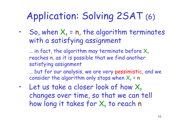## Application: Solving 2SAT (6)

So, when  $X_t = n$ , the algorithm terminates with a satisfying assignment

 $\ldots$  in fact, the algorithm may terminate before  $X_t$ reaches n, as it is possible that we find another satisfying assignment

…but for our analysis, we are very pessimistic, and we consider the algorithm only stops when  $X_t$  = n

Let us take a closer look of how  $X_t$ changes over time, so that we can tell how long it takes for  $\mathsf{X}_\mathsf{t}$  to reach  $\mathsf{n}$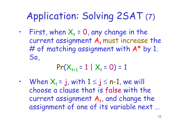## Application: Solving 2SAT (7)

• First, when  $X_t = 0$ , any change in the current assignment  $A_t$  must increase the # of matching assignment with  $A^*$  by 1. So,

$$
Pr(X_{t+1} = 1 | X_t = 0) = 1
$$

• When  $X_t = j$ , with  $1 \le j \le n-1$ , we will choose a clause that is false with the current assignment  $A_t$ , and change the assignment of one of its variable next …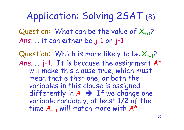## Application: Solving 2SAT (8)

Question: What can be the value of  $X_{t+1}$ ? Ans. …it can either be j-1 or j+1

Question: Which is more likely to be  $X_{t+1}$ ? Ans. …j+1. It is because the assignment A\* will make this clause true, which must mean that either one, or both the variables in this clause is assigned differently in  $A_t \rightarrow$  If we change one variable randomly, at least 1/2 of the time  $A_{t+1}$  will match more with  $A^*$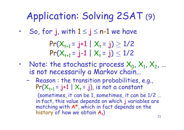## Application: Solving 2SAT (9)

• So, for j, with  $1 \le j \le n-1$  we have

$$
Pr(X_{t+1} = j+1 | X_t = j) \ge 1/2
$$
  
Pr(X\_{t+1} = j-1 | X\_t = j) \le 1/2

- Note: the stochastic process  $X_0, X_1, X_2, ...$ is not necessarily a Markov chain…
	- Reason : the transition probabilities, e.g.,  $Pr(X_{t+1} = j+1 | X_t = j)$ , is not a constant

(sometimes, it can be 1, sometimes, it can be 1/2 … in fact, this value depends on which j variables are matching with A\*, which in fact depends on the history of how we obtain  $\bm{\mathsf{A}}_ \texttt{t}$ )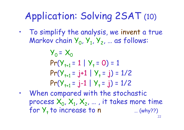## Application: Solving 2SAT (10)

• To simplify the analysis, we invent a true Markov chain  $Y_0, Y_1, Y_2, ...$  as follows:

$$
Y_0 = X_0
$$
  
Pr(Y<sub>t+1</sub> = 1 | Y<sub>t</sub> = 0) = 1  
Pr(Y<sub>t+1</sub> = j+1 | Y<sub>t</sub> = j) = 1/2  
Pr(Y<sub>t+1</sub> = j-1 | Y<sub>t</sub> = j) = 1/2

• When compared with the stochastic process  $\mathsf{X}_{0}$ ,  $\mathsf{X}_{1}$ ,  $\mathsf{X}_{2}$ , ... , it takes more time for  $Y_t$  to increase to n  $...$  (why??)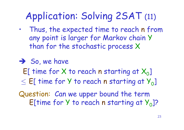## Application: Solving 2SAT (11)

- Thus, the expected time to reach n from any point is larger for Markov chain Y than for the stochastic process X
- $\rightarrow$  So, we have  $E[$  time for X to reach n starting at  $X_{0}]$  $\leq$  E[ time for Y to reach n starting at  $Y_{0}$ ] Question: Can we upper bound the term E[time for  $Y$  to reach n starting at  $Y_0$ ]?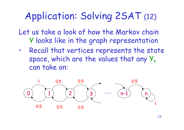## Application: Solving 2SAT (12)

Let us take a look of how the Markov chain Y looks like in the graph representation

• Recall that vertices represents the state space, which are the values that any  $Y_+$ can take on:

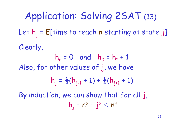Let  $h_i$  = E[time to reach n starting at state j] Clearly,  $h_n = 0$  and  $h_0 = h_1 + 1$ Also, for other values of j, we have  $h_j = \frac{1}{2}(h_{j-1} + 1) + \frac{1}{2}(h_{j+1} + 1)$ By induction, we can show that for all j,  $h_j = n^2 - j^2 \leq n^2$ Application: Solving 2SAT (13)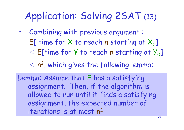## Application: Solving 2SAT (13)

• Combining with previous argument :  $E[$  time for X to reach n starting at  $X_{0}]$  $\leq$  E[time for Y to reach n starting at  $Y_{0}$ ]

 $\leq n^2$ , which gives the following lemma:

Lemma: Assume that F has a satisfying assignment. Then, if the algorithm is allowed to run until it finds a satisfying assignment, the expected number of iterations is at most n 2